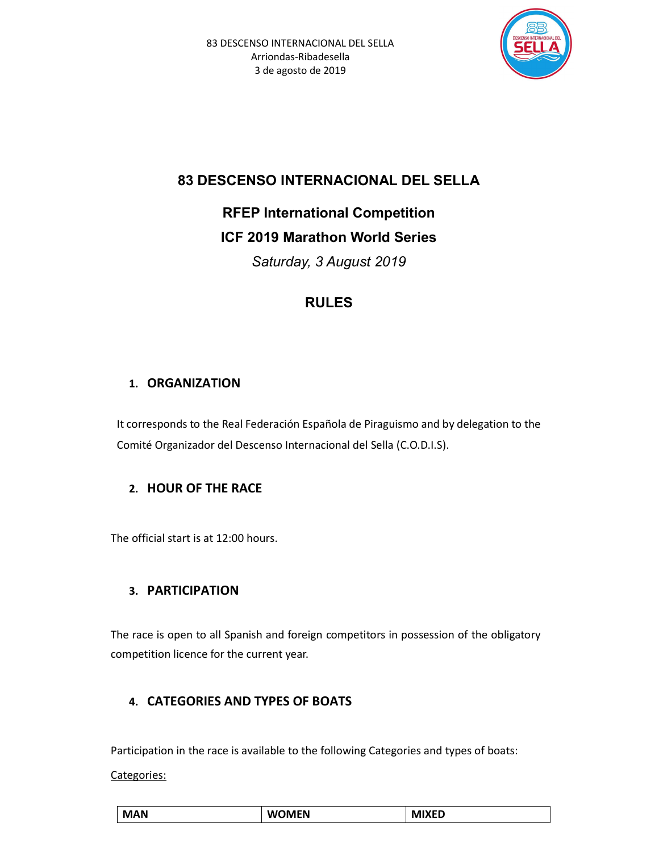

# 83 DESCENSO INTERNACIONAL DEL SELLA

RFEP International Competition ICF 2019 Marathon World Series

Saturday, 3 August 2019

# RULES

# 1. ORGANIZATION

It corresponds to the Real Federación Española de Piraguismo and by delegation to the Comité Organizador del Descenso Internacional del Sella (C.O.D.I.S).

## 2. HOUR OF THE RACE

The official start is at 12:00 hours.

# 3. PARTICIPATION

The race is open to all Spanish and foreign competitors in possession of the obligatory competition licence for the current year.

# 4. CATEGORIES AND TYPES OF BOATS

Participation in the race is available to the following Categories and types of boats:

Categories:

| <b>MAN</b> | <b>WOMEN</b> | , AIVER |
|------------|--------------|---------|
|            |              |         |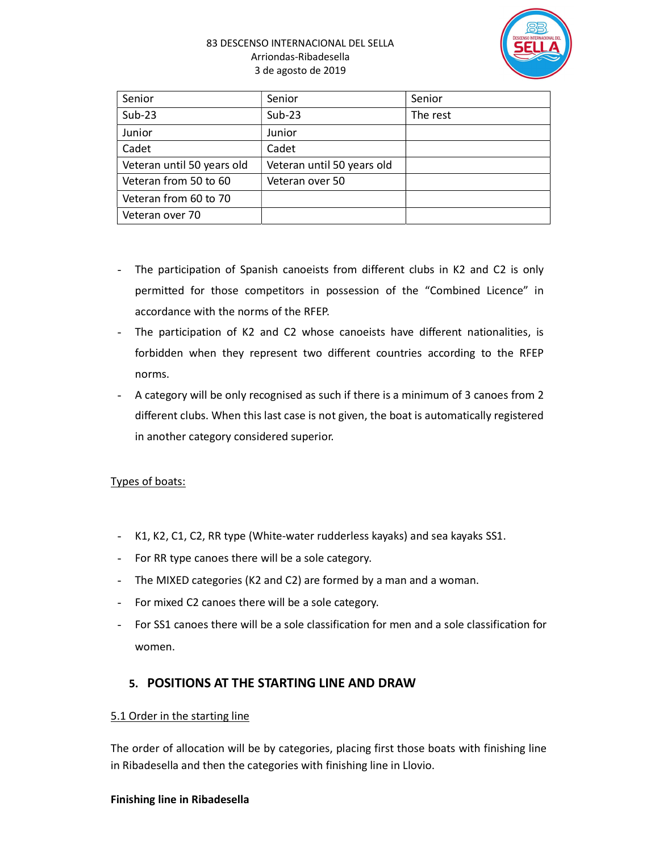#### 83 DESCENSO INTERNACIONAL DEL SELLA Arriondas-Ribadesella 3 de agosto de 2019



| Senior                     | Senior                     | Senior   |
|----------------------------|----------------------------|----------|
| $Sub-23$                   | $Sub-23$                   | The rest |
| Junior                     | Junior                     |          |
| Cadet                      | Cadet                      |          |
| Veteran until 50 years old | Veteran until 50 years old |          |
| Veteran from 50 to 60      | Veteran over 50            |          |
| Veteran from 60 to 70      |                            |          |
| Veteran over 70            |                            |          |

- The participation of Spanish canoeists from different clubs in K2 and C2 is only permitted for those competitors in possession of the "Combined Licence" in accordance with the norms of the RFEP.
- The participation of K2 and C2 whose canoeists have different nationalities, is forbidden when they represent two different countries according to the RFEP norms.
- A category will be only recognised as such if there is a minimum of 3 canoes from 2 different clubs. When this last case is not given, the boat is automatically registered in another category considered superior.

### Types of boats:

- K1, K2, C1, C2, RR type (White-water rudderless kayaks) and sea kayaks SS1.
- For RR type canoes there will be a sole category.
- The MIXED categories (K2 and C2) are formed by a man and a woman.
- For mixed C2 canoes there will be a sole category.
- For SS1 canoes there will be a sole classification for men and a sole classification for women.

## 5. POSITIONS AT THE STARTING LINE AND DRAW

### 5.1 Order in the starting line

The order of allocation will be by categories, placing first those boats with finishing line in Ribadesella and then the categories with finishing line in Llovio.

#### Finishing line in Ribadesella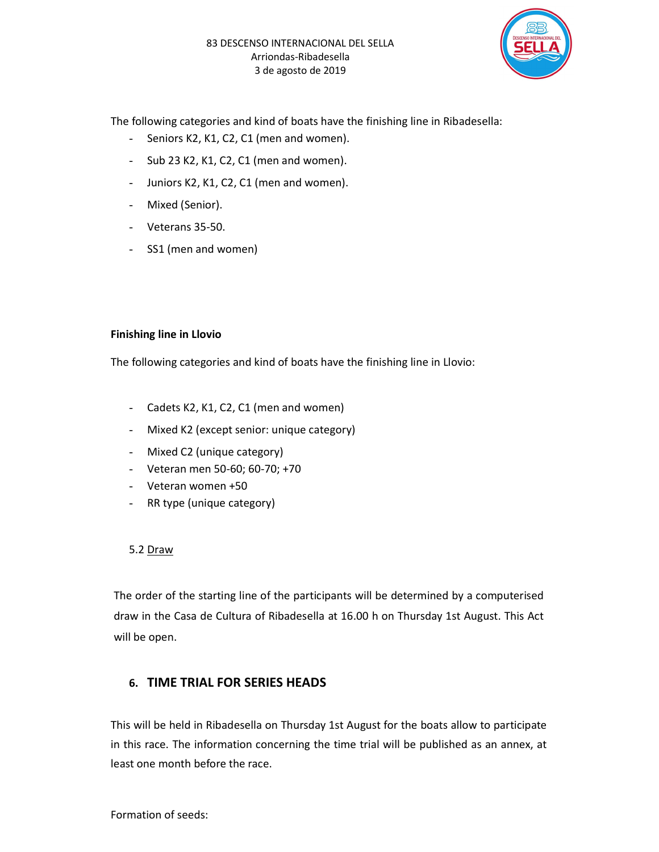

The following categories and kind of boats have the finishing line in Ribadesella:

- Seniors K2, K1, C2, C1 (men and women).
- Sub 23 K2, K1, C2, C1 (men and women).
- Juniors K2, K1, C2, C1 (men and women).
- Mixed (Senior).
- Veterans 35-50.
- SS1 (men and women)

#### Finishing line in Llovio

The following categories and kind of boats have the finishing line in Llovio:

- Cadets K2, K1, C2, C1 (men and women)
- Mixed K2 (except senior: unique category)
- Mixed C2 (unique category)
- Veteran men 50-60; 60-70; +70
- Veteran women +50
- RR type (unique category)

#### 5.2 Draw

The order of the starting line of the participants will be determined by a computerised draw in the Casa de Cultura of Ribadesella at 16.00 h on Thursday 1st August. This Act will be open.

### 6. TIME TRIAL FOR SERIES HEADS

This will be held in Ribadesella on Thursday 1st August for the boats allow to participate in this race. The information concerning the time trial will be published as an annex, at least one month before the race.

Formation of seeds: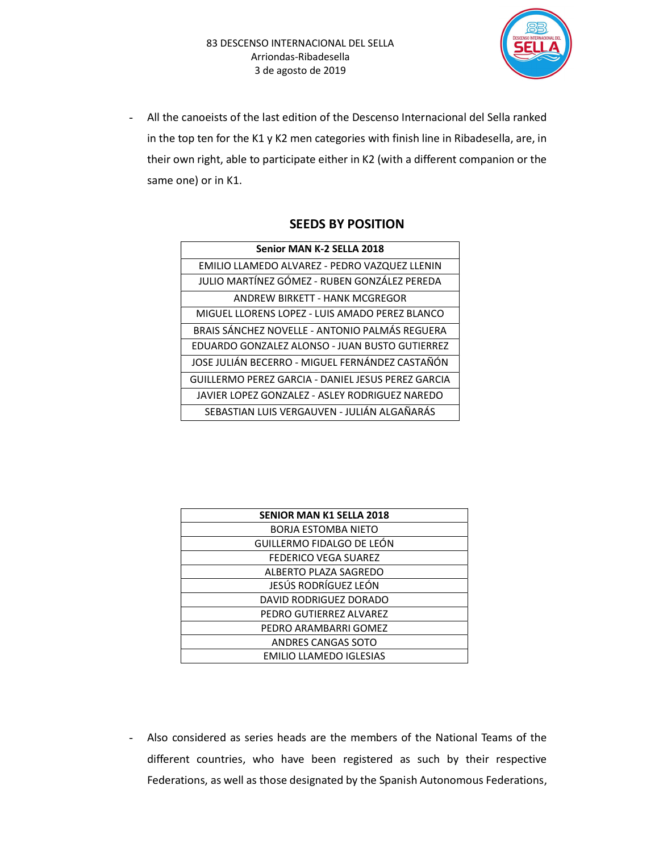

- All the canoeists of the last edition of the Descenso Internacional del Sella ranked in the top ten for the K1 y K2 men categories with finish line in Ribadesella, are, in their own right, able to participate either in K2 (with a different companion or the same one) or in K1.

| Senior MAN K-2 SELLA 2018                          |
|----------------------------------------------------|
| EMILIO LLAMEDO ALVAREZ - PEDRO VAZQUEZ LLENIN      |
| JULIO MARTÍNEZ GÓMEZ - RUBEN GONZÁLEZ PEREDA       |
| ANDREW BIRKETT - HANK MCGREGOR                     |
| MIGUEL LLORENS LOPEZ - LUIS AMADO PEREZ BLANCO     |
| BRAIS SÁNCHEZ NOVELLE - ANTONIO PALMÁS REGUERA     |
| EDUARDO GONZALEZ ALONSO - JUAN BUSTO GUTIERREZ     |
| JOSE JULIÁN BECERRO - MIGUEL FERNÁNDEZ CASTAÑÓN    |
| GUILLERMO PEREZ GARCIA - DANIEL JESUS PEREZ GARCIA |
| JAVIER LOPEZ GONZALEZ - ASLEY RODRIGUEZ NAREDO     |
| SEBASTIAN LUIS VERGAUVEN - JULIÁN ALGAÑARÁS        |

| <b>SENIOR MAN K1 SELLA 2018</b> |
|---------------------------------|
| <b>BORJA ESTOMBA NIETO</b>      |
| GUILLERMO FIDALGO DE LEÓN       |
| FEDERICO VEGA SUAREZ            |
| ALBERTO PLAZA SAGREDO           |
| JESÚS RODRÍGUEZ LEÓN            |
| DAVID RODRIGUEZ DORADO          |
| PEDRO GUTIERREZ ALVAREZ         |
| PEDRO ARAMBARRI GOMEZ           |
| ANDRES CANGAS SOTO              |
| <b>EMILIO LLAMEDO IGLESIAS</b>  |

Also considered as series heads are the members of the National Teams of the different countries, who have been registered as such by their respective Federations, as well as those designated by the Spanish Autonomous Federations,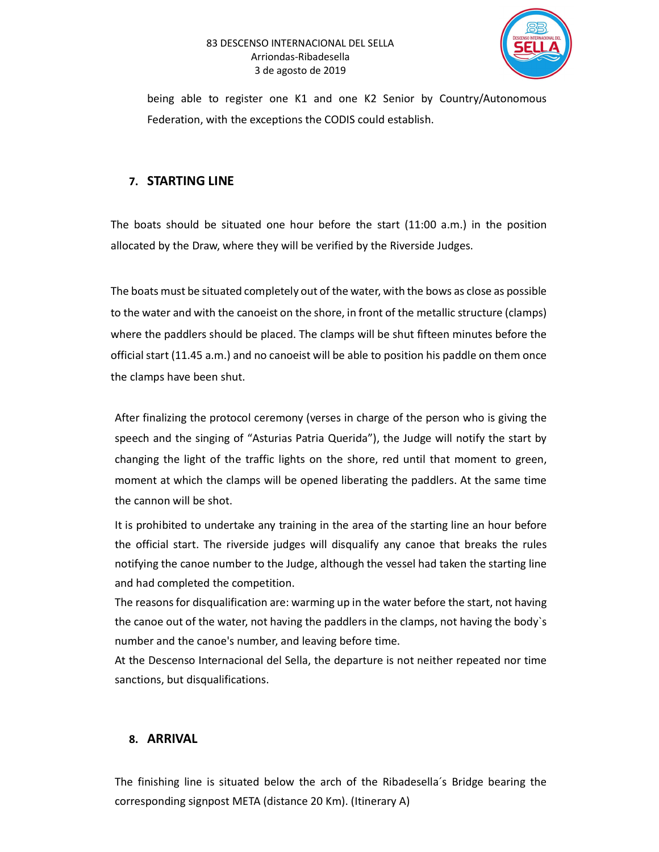#### 83 DESCENSO INTERNACIONAL DEL SELLA Arriondas-Ribadesella 3 de agosto de 2019



being able to register one K1 and one K2 Senior by Country/Autonomous Federation, with the exceptions the CODIS could establish.

### 7. STARTING LINE

The boats should be situated one hour before the start (11:00 a.m.) in the position allocated by the Draw, where they will be verified by the Riverside Judges.

The boats must be situated completely out of the water, with the bows as close as possible to the water and with the canoeist on the shore, in front of the metallic structure (clamps) where the paddlers should be placed. The clamps will be shut fifteen minutes before the official start (11.45 a.m.) and no canoeist will be able to position his paddle on them once the clamps have been shut.

After finalizing the protocol ceremony (verses in charge of the person who is giving the speech and the singing of "Asturias Patria Querida"), the Judge will notify the start by changing the light of the traffic lights on the shore, red until that moment to green, moment at which the clamps will be opened liberating the paddlers. At the same time the cannon will be shot.

It is prohibited to undertake any training in the area of the starting line an hour before the official start. The riverside judges will disqualify any canoe that breaks the rules notifying the canoe number to the Judge, although the vessel had taken the starting line and had completed the competition.

The reasons for disqualification are: warming up in the water before the start, not having the canoe out of the water, not having the paddlers in the clamps, not having the body`s number and the canoe's number, and leaving before time.

At the Descenso Internacional del Sella, the departure is not neither repeated nor time sanctions, but disqualifications.

### 8. ARRIVAL

The finishing line is situated below the arch of the Ribadesella´s Bridge bearing the corresponding signpost META (distance 20 Km). (Itinerary A)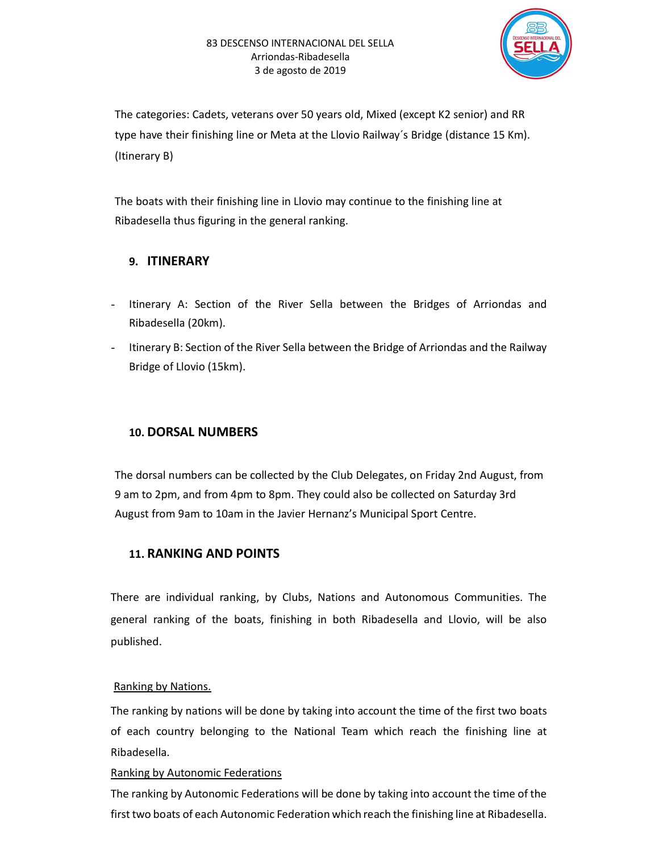

The categories: Cadets, veterans over 50 years old, Mixed (except K2 senior) and RR type have their finishing line or Meta at the Llovio Railway´s Bridge (distance 15 Km). (Itinerary B)

The boats with their finishing line in Llovio may continue to the finishing line at Ribadesella thus figuring in the general ranking.

### 9. ITINERARY

- Itinerary A: Section of the River Sella between the Bridges of Arriondas and Ribadesella (20km).
- Itinerary B: Section of the River Sella between the Bridge of Arriondas and the Railway Bridge of Llovio (15km).

## 10. DORSAL NUMBERS

The dorsal numbers can be collected by the Club Delegates, on Friday 2nd August, from 9 am to 2pm, and from 4pm to 8pm. They could also be collected on Saturday 3rd August from 9am to 10am in the Javier Hernanz's Municipal Sport Centre.

## 11. RANKING AND POINTS

There are individual ranking, by Clubs, Nations and Autonomous Communities. The general ranking of the boats, finishing in both Ribadesella and Llovio, will be also published.

### Ranking by Nations.

The ranking by nations will be done by taking into account the time of the first two boats of each country belonging to the National Team which reach the finishing line at Ribadesella.

### Ranking by Autonomic Federations

The ranking by Autonomic Federations will be done by taking into account the time of the first two boats of each Autonomic Federation which reach the finishing line at Ribadesella.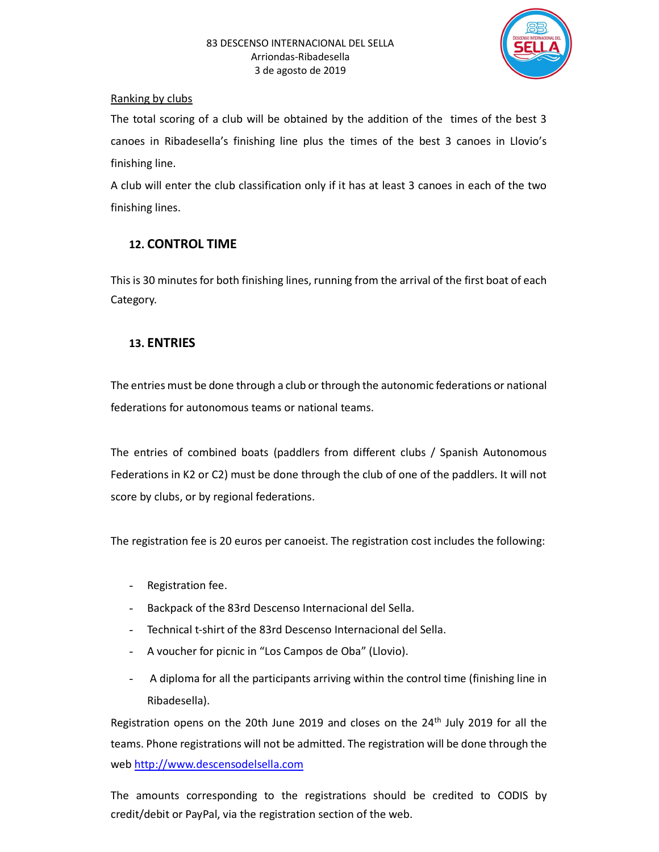

### Ranking by clubs

The total scoring of a club will be obtained by the addition of the times of the best 3 canoes in Ribadesella's finishing line plus the times of the best 3 canoes in Llovio's finishing line.

A club will enter the club classification only if it has at least 3 canoes in each of the two finishing lines.

## 12. CONTROL TIME

This is 30 minutes for both finishing lines, running from the arrival of the first boat of each Category.

## 13. ENTRIES

The entries must be done through a club or through the autonomic federations or national federations for autonomous teams or national teams.

The entries of combined boats (paddlers from different clubs / Spanish Autonomous Federations in K2 or C2) must be done through the club of one of the paddlers. It will not score by clubs, or by regional federations.

The registration fee is 20 euros per canoeist. The registration cost includes the following:

- Registration fee.
- Backpack of the 83rd Descenso Internacional del Sella.
- Technical t-shirt of the 83rd Descenso Internacional del Sella.
- A voucher for picnic in "Los Campos de Oba" (Llovio).
- A diploma for all the participants arriving within the control time (finishing line in Ribadesella).

Registration opens on the 20th June 2019 and closes on the  $24<sup>th</sup>$  July 2019 for all the teams. Phone registrations will not be admitted. The registration will be done through the web http://www.descensodelsella.com

The amounts corresponding to the registrations should be credited to CODIS by credit/debit or PayPal, via the registration section of the web.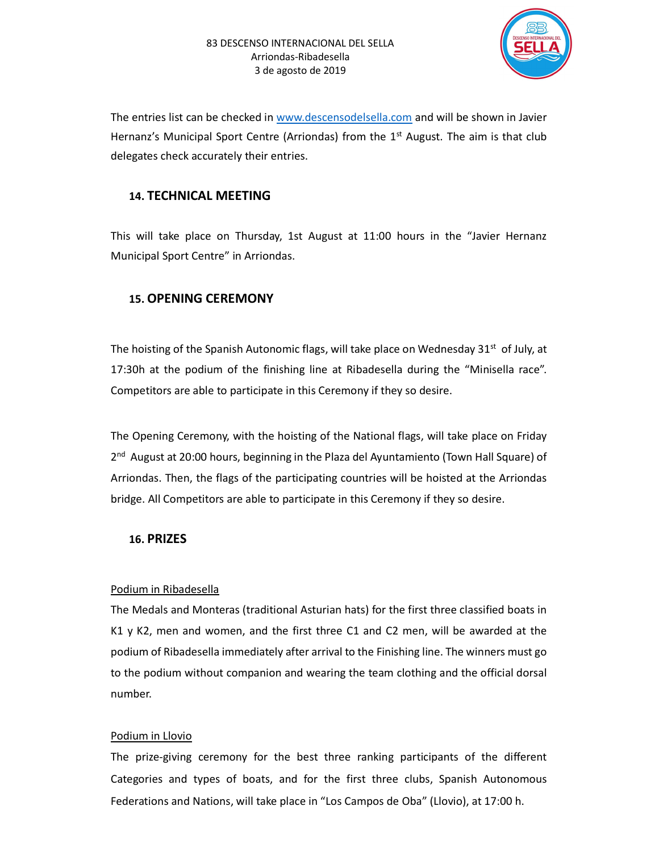

The entries list can be checked in www.descensodelsella.com and will be shown in Javier Hernanz's Municipal Sport Centre (Arriondas) from the  $1<sup>st</sup>$  August. The aim is that club delegates check accurately their entries.

### 14. TECHNICAL MEETING

This will take place on Thursday, 1st August at 11:00 hours in the "Javier Hernanz Municipal Sport Centre" in Arriondas.

### 15. OPENING CEREMONY

The hoisting of the Spanish Autonomic flags, will take place on Wednesday  $31^{st}$  of July, at 17:30h at the podium of the finishing line at Ribadesella during the "Minisella race". Competitors are able to participate in this Ceremony if they so desire.

The Opening Ceremony, with the hoisting of the National flags, will take place on Friday 2<sup>nd</sup> August at 20:00 hours, beginning in the Plaza del Ayuntamiento (Town Hall Square) of Arriondas. Then, the flags of the participating countries will be hoisted at the Arriondas bridge. All Competitors are able to participate in this Ceremony if they so desire.

### 16. PRIZES

#### Podium in Ribadesella

The Medals and Monteras (traditional Asturian hats) for the first three classified boats in K1 y K2, men and women, and the first three C1 and C2 men, will be awarded at the podium of Ribadesella immediately after arrival to the Finishing line. The winners must go to the podium without companion and wearing the team clothing and the official dorsal number.

#### Podium in Llovio

The prize-giving ceremony for the best three ranking participants of the different Categories and types of boats, and for the first three clubs, Spanish Autonomous Federations and Nations, will take place in "Los Campos de Oba" (Llovio), at 17:00 h.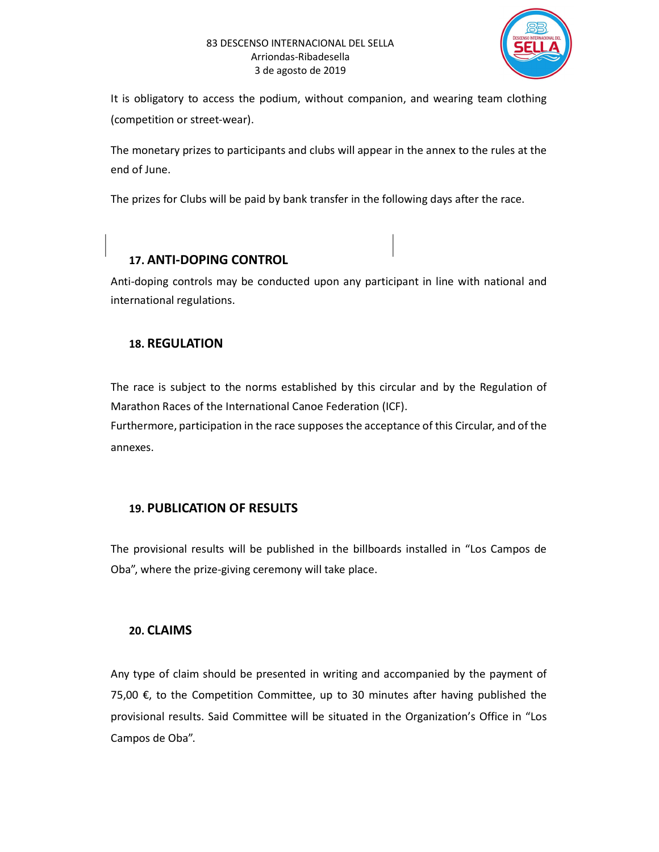

It is obligatory to access the podium, without companion, and wearing team clothing (competition or street-wear).

The monetary prizes to participants and clubs will appear in the annex to the rules at the end of June.

The prizes for Clubs will be paid by bank transfer in the following days after the race.

# 17. ANTI-DOPING CONTROL

Anti-doping controls may be conducted upon any participant in line with national and international regulations.

## 18. REGULATION

The race is subject to the norms established by this circular and by the Regulation of Marathon Races of the International Canoe Federation (ICF).

Furthermore, participation in the race supposes the acceptance of this Circular, and of the annexes.

## 19. PUBLICATION OF RESULTS

The provisional results will be published in the billboards installed in "Los Campos de Oba", where the prize-giving ceremony will take place.

## 20. CLAIMS

Any type of claim should be presented in writing and accompanied by the payment of 75,00  $€$ , to the Competition Committee, up to 30 minutes after having published the provisional results. Said Committee will be situated in the Organization's Office in "Los Campos de Oba".